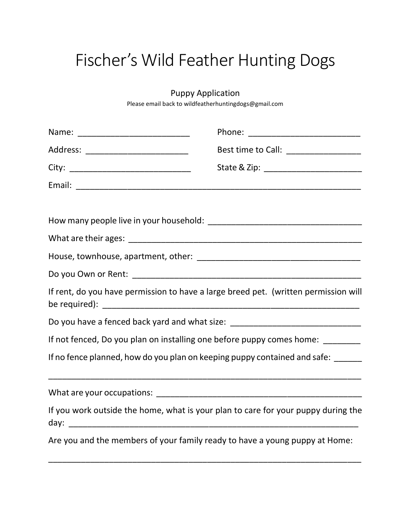## Fischer's Wild Feather Hunting Dogs

## Puppy Application

Please email back to wildfeatherhuntingdogs@gmail.com

| Address: ___________________________ | Best time to Call: ____________________                                             |
|--------------------------------------|-------------------------------------------------------------------------------------|
|                                      |                                                                                     |
|                                      |                                                                                     |
|                                      |                                                                                     |
|                                      |                                                                                     |
|                                      |                                                                                     |
|                                      |                                                                                     |
|                                      |                                                                                     |
|                                      | If rent, do you have permission to have a large breed pet. (written permission will |
|                                      | Do you have a fenced back yard and what size: __________________________________    |
|                                      | If not fenced, Do you plan on installing one before puppy comes home: ________      |
|                                      | If no fence planned, how do you plan on keeping puppy contained and safe: _____     |
|                                      |                                                                                     |
|                                      | If you work outside the home, what is your plan to care for your puppy during the   |
|                                      | Are you and the members of your family ready to have a young puppy at Home:         |

\_\_\_\_\_\_\_\_\_\_\_\_\_\_\_\_\_\_\_\_\_\_\_\_\_\_\_\_\_\_\_\_\_\_\_\_\_\_\_\_\_\_\_\_\_\_\_\_\_\_\_\_\_\_\_\_\_\_\_\_\_\_\_\_\_\_\_